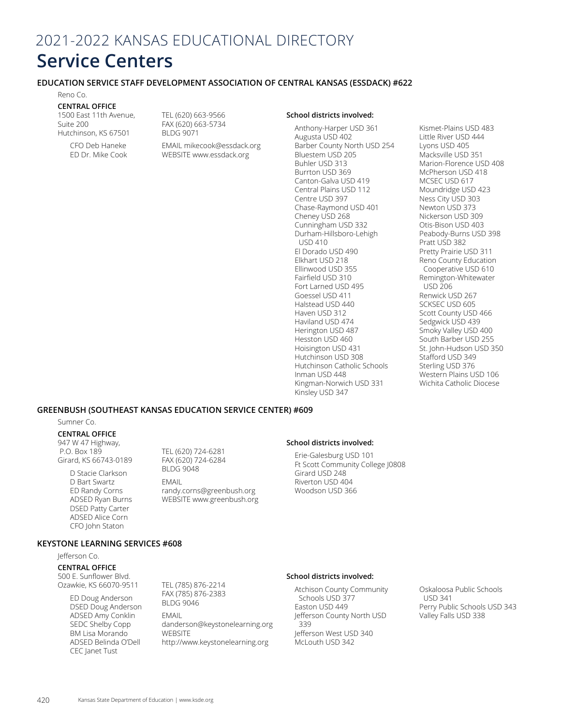# 2021-2022 KANSAS EDUCATIONAL DIRECTORY **Service Centers**

## **EDUCATION SERVICE STAFF DEVELOPMENT ASSOCIATION OF CENTRAL KANSAS (ESSDACK) #622**

Reno Co.

## **CENTRAL OFFICE**

1500 East 11th Avenue, Suite 200 Hutchinson, KS 67501

> CFO Deb Haneke ED Dr. Mike Cook

TEL (620) 663-9566 FAX (620) 663-5734 BLDG 9071

EMAIL mikecook@essdack.org WEBSITE www.essdack.org

Anthony-Harper USD 361 Augusta USD 402 Barber County North USD 254 Bluestem USD 205 Buhler USD 313 Burrton USD 369 Canton-Galva USD 419 Central Plains USD 112 Centre USD 397 Chase-Raymond USD 401 Cheney USD 268 Cunningham USD 332 Durham-Hillsboro-Lehigh USD 410 El Dorado USD 490 Elkhart USD 218 Ellinwood USD 355 Fairfield USD 310 Fort Larned USD 495 Goessel USD 411 Halstead USD 440 Haven USD 312 Haviland USD 474 Herington USD 487 Hesston USD 460 Hoisington USD 431 Hutchinson USD 308 Hutchinson Catholic Schools Inman USD 448 Kingman-Norwich USD 331 Kinsley USD 347

**School districts involved:**

Kismet-Plains USD 483 Little River USD 444 Lyons USD 405 Macksville USD 351 Marion-Florence USD 408 McPherson USD 418 MCSEC USD 617 Moundridge USD 423 Ness City USD 303 Newton USD 373 Nickerson USD 309 Otis-Bison USD 403 Peabody-Burns USD 398 Pratt USD 382 Pretty Prairie USD 311 Reno County Education Cooperative USD 610 Remington-Whitewater USD 206 Renwick USD 267 SCKSEC USD 605 Scott County USD 466 Sedgwick USD 439 Smoky Valley USD 400 South Barber USD 255 St. John-Hudson USD 350 Stafford USD 349 Sterling USD 376 Western Plains USD 106 Wichita Catholic Diocese

## **GREENBUSH (SOUTHEAST KANSAS EDUCATION SERVICE CENTER) #609**

#### Sumner Co.

**CENTRAL OFFICE** 947 W 47 Highway, P.O. Box 189 Girard, KS 66743-0189

> D Stacie Clarkson D Bart Swartz ED Randy Corns ADSED Ryan Burns DSED Patty Carter ADSED Alice Corn CFO John Staton

TEL (620) 724-6281 FAX (620) 724-6284 BLDG 9048

#### EMAIL randy.corns@greenbush.org WEBSITE www.greenbush.org

#### **School districts involved:**

Erie-Galesburg USD 101 Ft Scott Community College J0808 Girard USD 248 Riverton USD 404 Woodson USD 366

## **KEYSTONE LEARNING SERVICES #608**

Jefferson Co.

**CENTRAL OFFICE** 500 E. Sunflower Blvd. Ozawkie, KS 66070-9511

> ED Doug Anderson DSED Doug Anderson ADSED Amy Conklin SEDC Shelby Copp BM Lisa Morando ADSED Belinda O'Dell CEC Janet Tust

TEL (785) 876-2214 FAX (785) 876-2383 BLDG 9046 EMAIL danderson@keystonelearning.org **WEBSITF** 

http://www.keystonelearning.org

#### **School districts involved:**

Atchison County Community Schools USD 377 Easton USD 449 Jefferson County North USD 339 Jefferson West USD 340 McLouth USD 342

Oskaloosa Public Schools USD 341 Perry Public Schools USD 343 Valley Falls USD 338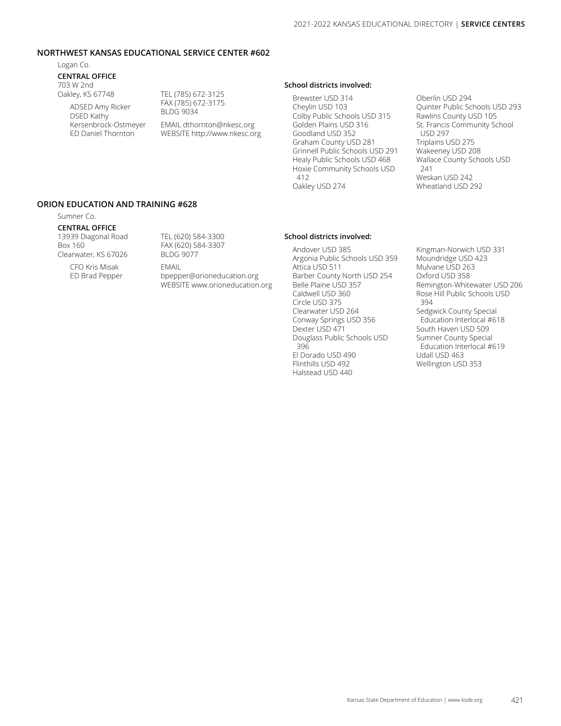## **NORTHWEST KANSAS EDUCATIONAL SERVICE CENTER #602**

Logan Co.

#### **CENTRAL OFFICE** 703 W 2nd

Oakley, KS 67748

ADSED Amy Ricker DSED Kathy Kersenbrock-Ostmeyer ED Daniel Thornton

TEL (785) 672-3125 FAX (785) 672-3175 BLDG 9034 EMAIL dthornton@nkesc.org WEBSITE http://www.nkesc.org

## **School districts involved:**

Brewster USD 314 Cheylin USD 103 Colby Public Schools USD 315 Golden Plains USD 316 Goodland USD 352 Graham County USD 281 Grinnell Public Schools USD 291 Healy Public Schools USD 468 Hoxie Community Schools USD 412 Oakley USD 274

Oberlin USD 294 Quinter Public Schools USD 293 Rawlins County USD 105 St. Francis Community School USD 297 Triplains USD 275 Wakeeney USD 208 Wallace County Schools USD 241 Weskan USD 242 Wheatland USD 292

## **ORION EDUCATION AND TRAINING #628**

## Sumner Co.

**CENTRAL OFFICE**  13939 Diagonal Road Box 160 Clearwater, KS 67026

TEL (620) 584-3300 FAX (620) 584-3307 BLDG 9077

CFO Kris Misak ED Brad Pepper EMAIL bpepper@orioneducation.org WEBSITE www.orioneducation.org

## **School districts involved:**  Andover USD 385

Argonia Public Schools USD 359 Attica USD 511 Barber County North USD 254 Belle Plaine USD 357 Caldwell USD 360 Circle USD 375 Clearwater USD 264 Conway Springs USD 356 Dexter USD 471 Douglass Public Schools USD 396 El Dorado USD 490 Flinthills USD 492 Halstead USD 440

Kingman-Norwich USD 331 Moundridge USD 423 Mulvane USD 263 Oxford USD 358 Remington-Whitewater USD 206 Rose Hill Public Schools USD 394 Sedgwick County Special Education Interlocal #618 South Haven USD 509 Sumner County Special Education Interlocal #619 Udall USD 463 Wellington USD 353